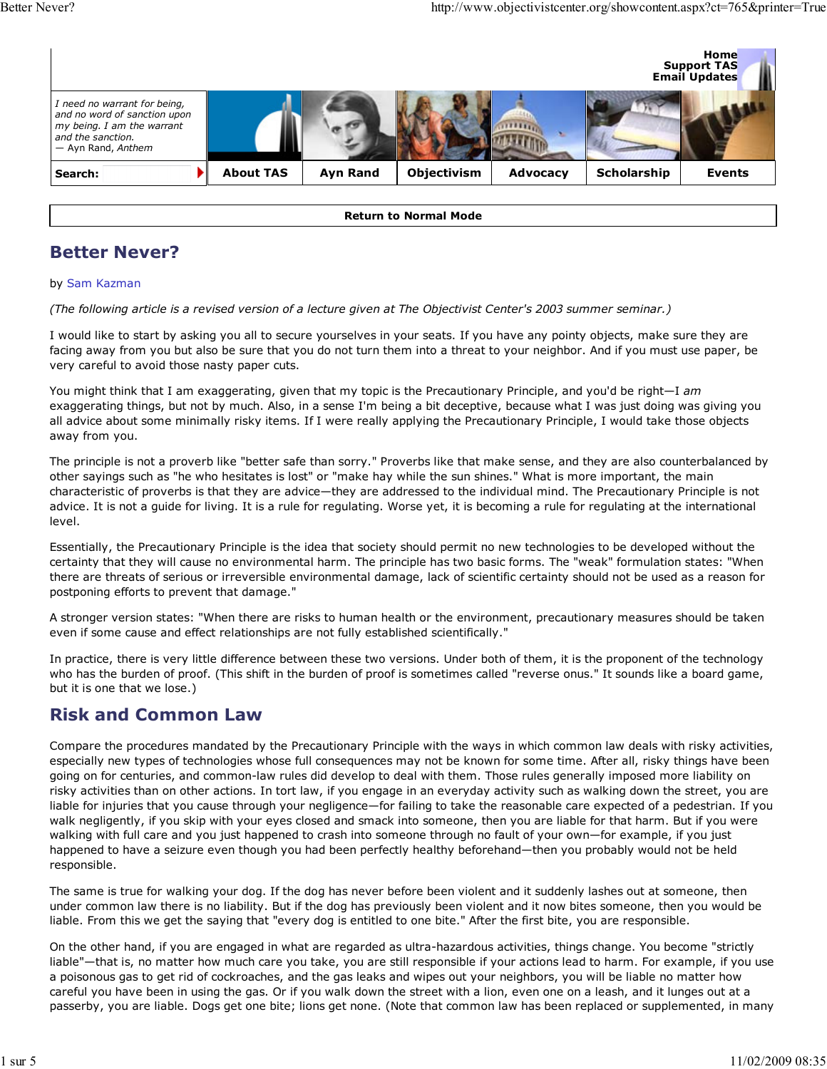

Return to Normal Mode

### Better Never?

#### by Sam Kazman

(The following article is a revised version of a lecture given at The Objectivist Center's 2003 summer seminar.)

I would like to start by asking you all to secure yourselves in your seats. If you have any pointy objects, make sure they are facing away from you but also be sure that you do not turn them into a threat to your neighbor. And if you must use paper, be very careful to avoid those nasty paper cuts.

You might think that I am exaggerating, given that my topic is the Precautionary Principle, and you'd be right-I am exaggerating things, but not by much. Also, in a sense I'm being a bit deceptive, because what I was just doing was giving you all advice about some minimally risky items. If I were really applying the Precautionary Principle, I would take those objects away from you.

The principle is not a proverb like "better safe than sorry." Proverbs like that make sense, and they are also counterbalanced by other sayings such as "he who hesitates is lost" or "make hay while the sun shines." What is more important, the main characteristic of proverbs is that they are advice—they are addressed to the individual mind. The Precautionary Principle is not advice. It is not a guide for living. It is a rule for regulating. Worse yet, it is becoming a rule for regulating at the international level.

Essentially, the Precautionary Principle is the idea that society should permit no new technologies to be developed without the certainty that they will cause no environmental harm. The principle has two basic forms. The "weak" formulation states: "When there are threats of serious or irreversible environmental damage, lack of scientific certainty should not be used as a reason for postponing efforts to prevent that damage."

A stronger version states: "When there are risks to human health or the environment, precautionary measures should be taken even if some cause and effect relationships are not fully established scientifically."

In practice, there is very little difference between these two versions. Under both of them, it is the proponent of the technology who has the burden of proof. (This shift in the burden of proof is sometimes called "reverse onus." It sounds like a board game, but it is one that we lose.)

#### Risk and Common Law

Compare the procedures mandated by the Precautionary Principle with the ways in which common law deals with risky activities, especially new types of technologies whose full consequences may not be known for some time. After all, risky things have been going on for centuries, and common-law rules did develop to deal with them. Those rules generally imposed more liability on risky activities than on other actions. In tort law, if you engage in an everyday activity such as walking down the street, you are liable for injuries that you cause through your negligence—for failing to take the reasonable care expected of a pedestrian. If you walk negligently, if you skip with your eyes closed and smack into someone, then you are liable for that harm. But if you were walking with full care and you just happened to crash into someone through no fault of your own—for example, if you just happened to have a seizure even though you had been perfectly healthy beforehand—then you probably would not be held responsible.

The same is true for walking your dog. If the dog has never before been violent and it suddenly lashes out at someone, then under common law there is no liability. But if the dog has previously been violent and it now bites someone, then you would be liable. From this we get the saying that "every dog is entitled to one bite." After the first bite, you are responsible.

On the other hand, if you are engaged in what are regarded as ultra-hazardous activities, things change. You become "strictly liable"—that is, no matter how much care you take, you are still responsible if your actions lead to harm. For example, if you use a poisonous gas to get rid of cockroaches, and the gas leaks and wipes out your neighbors, you will be liable no matter how careful you have been in using the gas. Or if you walk down the street with a lion, even one on a leash, and it lunges out at a passerby, you are liable. Dogs get one bite; lions get none. (Note that common law has been replaced or supplemented, in many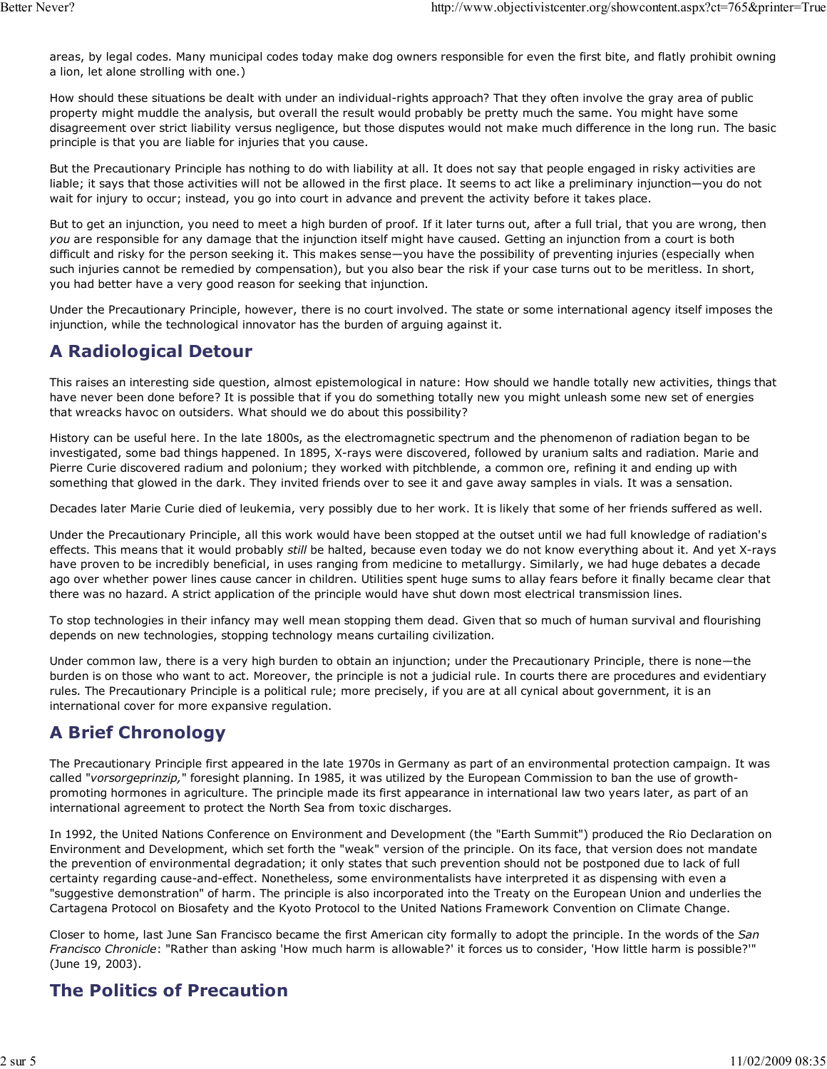areas, by legal codes. Many municipal codes today make dog owners responsible for even the first bite, and flatly prohibit owning a lion, let alone strolling with one.)

How should these situations be dealt with under an individual-rights approach? That they often involve the gray area of public property might muddle the analysis, but overall the result would probably be pretty much the same. You might have some disagreement over strict liability versus negligence, but those disputes would not make much difference in the long run. The basic principle is that you are liable for injuries that you cause.

But the Precautionary Principle has nothing to do with liability at all. It does not say that people engaged in risky activities are liable; it says that those activities will not be allowed in the first place. It seems to act like a preliminary injunction—you do not wait for injury to occur; instead, you go into court in advance and prevent the activity before it takes place.

But to get an injunction, you need to meet a high burden of proof. If it later turns out, after a full trial, that you are wrong, then you are responsible for any damage that the injunction itself might have caused. Getting an injunction from a court is both difficult and risky for the person seeking it. This makes sense—you have the possibility of preventing injuries (especially when such injuries cannot be remedied by compensation), but you also bear the risk if your case turns out to be meritless. In short, you had better have a very good reason for seeking that injunction.

Under the Precautionary Principle, however, there is no court involved. The state or some international agency itself imposes the injunction, while the technological innovator has the burden of arguing against it.

#### A Radiological Detour

This raises an interesting side question, almost epistemological in nature: How should we handle totally new activities, things that have never been done before? It is possible that if you do something totally new you might unleash some new set of energies that wreacks havoc on outsiders. What should we do about this possibility?

History can be useful here. In the late 1800s, as the electromagnetic spectrum and the phenomenon of radiation began to be investigated, some bad things happened. In 1895, X-rays were discovered, followed by uranium salts and radiation. Marie and Pierre Curie discovered radium and polonium; they worked with pitchblende, a common ore, refining it and ending up with something that glowed in the dark. They invited friends over to see it and gave away samples in vials. It was a sensation.

Decades later Marie Curie died of leukemia, very possibly due to her work. It is likely that some of her friends suffered as well.

Under the Precautionary Principle, all this work would have been stopped at the outset until we had full knowledge of radiation's effects. This means that it would probably still be halted, because even today we do not know everything about it. And yet X-rays have proven to be incredibly beneficial, in uses ranging from medicine to metallurgy. Similarly, we had huge debates a decade ago over whether power lines cause cancer in children. Utilities spent huge sums to allay fears before it finally became clear that there was no hazard. A strict application of the principle would have shut down most electrical transmission lines.

To stop technologies in their infancy may well mean stopping them dead. Given that so much of human survival and flourishing depends on new technologies, stopping technology means curtailing civilization.

Under common law, there is a very high burden to obtain an injunction; under the Precautionary Principle, there is none—the burden is on those who want to act. Moreover, the principle is not a judicial rule. In courts there are procedures and evidentiary rules. The Precautionary Principle is a political rule; more precisely, if you are at all cynical about government, it is an international cover for more expansive regulation.

# A Brief Chronology

The Precautionary Principle first appeared in the late 1970s in Germany as part of an environmental protection campaign. It was called "vorsorgeprinzip," foresight planning. In 1985, it was utilized by the European Commission to ban the use of growthpromoting hormones in agriculture. The principle made its first appearance in international law two years later, as part of an international agreement to protect the North Sea from toxic discharges.

In 1992, the United Nations Conference on Environment and Development (the "Earth Summit") produced the Rio Declaration on Environment and Development, which set forth the "weak" version of the principle. On its face, that version does not mandate the prevention of environmental degradation; it only states that such prevention should not be postponed due to lack of full certainty regarding cause-and-effect. Nonetheless, some environmentalists have interpreted it as dispensing with even a "suggestive demonstration" of harm. The principle is also incorporated into the Treaty on the European Union and underlies the Cartagena Protocol on Biosafety and the Kyoto Protocol to the United Nations Framework Convention on Climate Change.

Closer to home, last June San Francisco became the first American city formally to adopt the principle. In the words of the San Francisco Chronicle: "Rather than asking 'How much harm is allowable?' it forces us to consider, 'How little harm is possible?'" (June 19, 2003).

#### The Politics of Precaution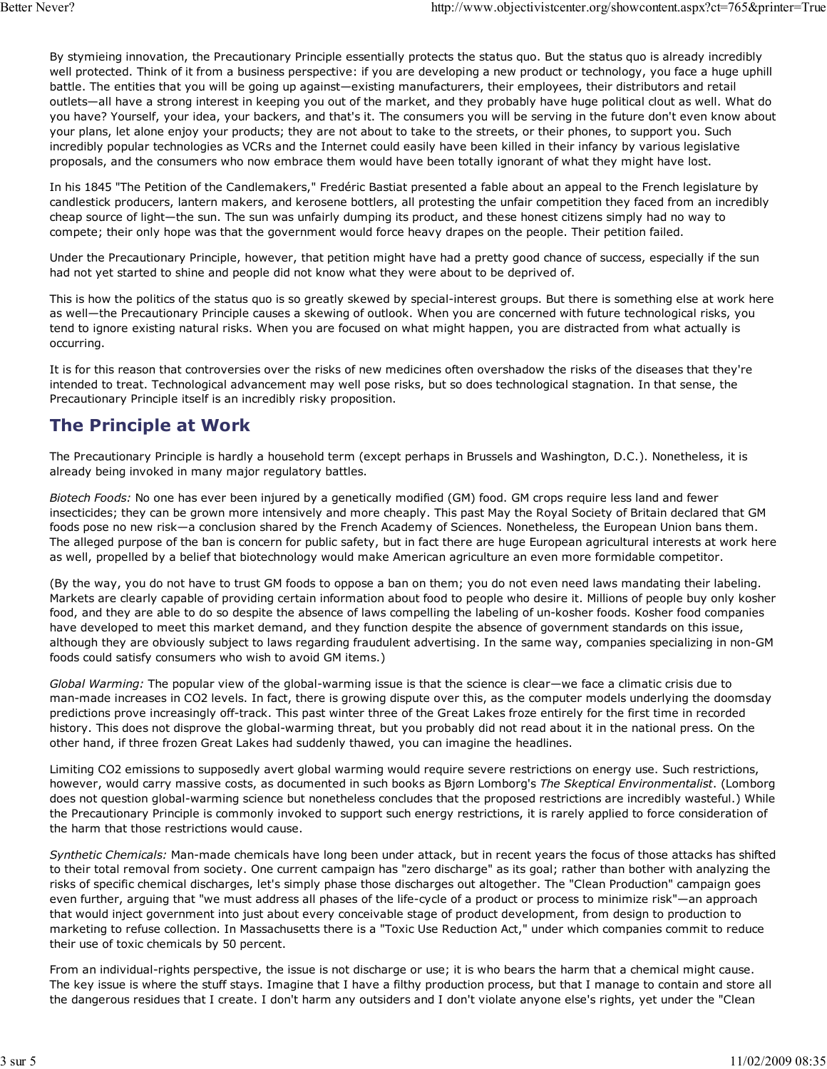By stymieing innovation, the Precautionary Principle essentially protects the status quo. But the status quo is already incredibly well protected. Think of it from a business perspective: if you are developing a new product or technology, you face a huge uphill battle. The entities that you will be going up against—existing manufacturers, their employees, their distributors and retail outlets—all have a strong interest in keeping you out of the market, and they probably have huge political clout as well. What do you have? Yourself, your idea, your backers, and that's it. The consumers you will be serving in the future don't even know about your plans, let alone enjoy your products; they are not about to take to the streets, or their phones, to support you. Such incredibly popular technologies as VCRs and the Internet could easily have been killed in their infancy by various legislative proposals, and the consumers who now embrace them would have been totally ignorant of what they might have lost.

In his 1845 "The Petition of the Candlemakers," Fredéric Bastiat presented a fable about an appeal to the French legislature by candlestick producers, lantern makers, and kerosene bottlers, all protesting the unfair competition they faced from an incredibly cheap source of light—the sun. The sun was unfairly dumping its product, and these honest citizens simply had no way to compete; their only hope was that the government would force heavy drapes on the people. Their petition failed.

Under the Precautionary Principle, however, that petition might have had a pretty good chance of success, especially if the sun had not yet started to shine and people did not know what they were about to be deprived of.

This is how the politics of the status quo is so greatly skewed by special-interest groups. But there is something else at work here as well—the Precautionary Principle causes a skewing of outlook. When you are concerned with future technological risks, you tend to ignore existing natural risks. When you are focused on what might happen, you are distracted from what actually is occurring.

It is for this reason that controversies over the risks of new medicines often overshadow the risks of the diseases that they're intended to treat. Technological advancement may well pose risks, but so does technological stagnation. In that sense, the Precautionary Principle itself is an incredibly risky proposition.

### The Principle at Work

The Precautionary Principle is hardly a household term (except perhaps in Brussels and Washington, D.C.). Nonetheless, it is already being invoked in many major regulatory battles.

Biotech Foods: No one has ever been injured by a genetically modified (GM) food. GM crops require less land and fewer insecticides; they can be grown more intensively and more cheaply. This past May the Royal Society of Britain declared that GM foods pose no new risk—a conclusion shared by the French Academy of Sciences. Nonetheless, the European Union bans them. The alleged purpose of the ban is concern for public safety, but in fact there are huge European agricultural interests at work here as well, propelled by a belief that biotechnology would make American agriculture an even more formidable competitor.

(By the way, you do not have to trust GM foods to oppose a ban on them; you do not even need laws mandating their labeling. Markets are clearly capable of providing certain information about food to people who desire it. Millions of people buy only kosher food, and they are able to do so despite the absence of laws compelling the labeling of un-kosher foods. Kosher food companies have developed to meet this market demand, and they function despite the absence of government standards on this issue, although they are obviously subject to laws regarding fraudulent advertising. In the same way, companies specializing in non-GM foods could satisfy consumers who wish to avoid GM items.)

Global Warming: The popular view of the global-warming issue is that the science is clear—we face a climatic crisis due to man-made increases in CO2 levels. In fact, there is growing dispute over this, as the computer models underlying the doomsday predictions prove increasingly off-track. This past winter three of the Great Lakes froze entirely for the first time in recorded history. This does not disprove the global-warming threat, but you probably did not read about it in the national press. On the other hand, if three frozen Great Lakes had suddenly thawed, you can imagine the headlines.

Limiting CO2 emissions to supposedly avert global warming would require severe restrictions on energy use. Such restrictions, however, would carry massive costs, as documented in such books as Bjørn Lomborg's The Skeptical Environmentalist. (Lomborg does not question global-warming science but nonetheless concludes that the proposed restrictions are incredibly wasteful.) While the Precautionary Principle is commonly invoked to support such energy restrictions, it is rarely applied to force consideration of the harm that those restrictions would cause.

Synthetic Chemicals: Man-made chemicals have long been under attack, but in recent years the focus of those attacks has shifted to their total removal from society. One current campaign has "zero discharge" as its goal; rather than bother with analyzing the risks of specific chemical discharges, let's simply phase those discharges out altogether. The "Clean Production" campaign goes even further, arguing that "we must address all phases of the life-cycle of a product or process to minimize risk"—an approach that would inject government into just about every conceivable stage of product development, from design to production to marketing to refuse collection. In Massachusetts there is a "Toxic Use Reduction Act," under which companies commit to reduce their use of toxic chemicals by 50 percent.

From an individual-rights perspective, the issue is not discharge or use; it is who bears the harm that a chemical might cause. The key issue is where the stuff stays. Imagine that I have a filthy production process, but that I manage to contain and store all the dangerous residues that I create. I don't harm any outsiders and I don't violate anyone else's rights, yet under the "Clean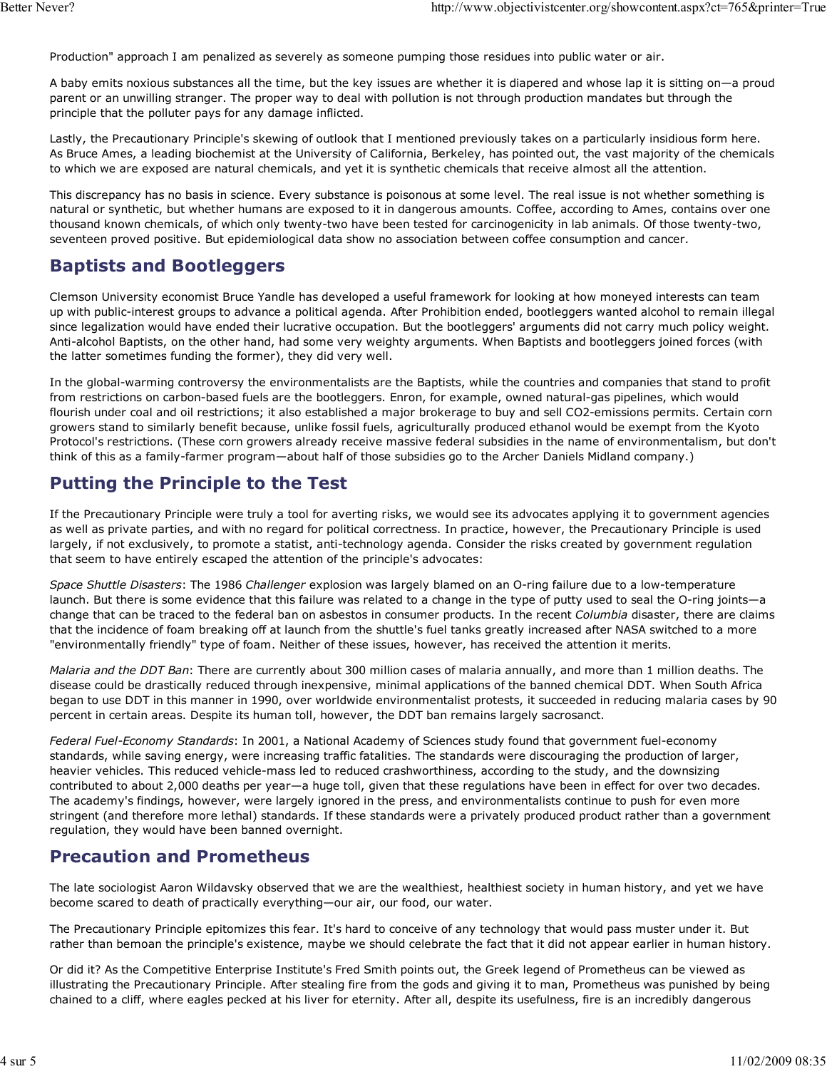Production" approach I am penalized as severely as someone pumping those residues into public water or air.

A baby emits noxious substances all the time, but the key issues are whether it is diapered and whose lap it is sitting on—a proud parent or an unwilling stranger. The proper way to deal with pollution is not through production mandates but through the principle that the polluter pays for any damage inflicted.

Lastly, the Precautionary Principle's skewing of outlook that I mentioned previously takes on a particularly insidious form here. As Bruce Ames, a leading biochemist at the University of California, Berkeley, has pointed out, the vast majority of the chemicals to which we are exposed are natural chemicals, and yet it is synthetic chemicals that receive almost all the attention.

This discrepancy has no basis in science. Every substance is poisonous at some level. The real issue is not whether something is natural or synthetic, but whether humans are exposed to it in dangerous amounts. Coffee, according to Ames, contains over one thousand known chemicals, of which only twenty-two have been tested for carcinogenicity in lab animals. Of those twenty-two, seventeen proved positive. But epidemiological data show no association between coffee consumption and cancer.

# Baptists and Bootleggers

Clemson University economist Bruce Yandle has developed a useful framework for looking at how moneyed interests can team up with public-interest groups to advance a political agenda. After Prohibition ended, bootleggers wanted alcohol to remain illegal since legalization would have ended their lucrative occupation. But the bootleggers' arguments did not carry much policy weight. Anti-alcohol Baptists, on the other hand, had some very weighty arguments. When Baptists and bootleggers joined forces (with the latter sometimes funding the former), they did very well.

In the global-warming controversy the environmentalists are the Baptists, while the countries and companies that stand to profit from restrictions on carbon-based fuels are the bootleggers. Enron, for example, owned natural-gas pipelines, which would flourish under coal and oil restrictions; it also established a major brokerage to buy and sell CO2-emissions permits. Certain corn growers stand to similarly benefit because, unlike fossil fuels, agriculturally produced ethanol would be exempt from the Kyoto Protocol's restrictions. (These corn growers already receive massive federal subsidies in the name of environmentalism, but don't think of this as a family-farmer program—about half of those subsidies go to the Archer Daniels Midland company.)

# Putting the Principle to the Test

If the Precautionary Principle were truly a tool for averting risks, we would see its advocates applying it to government agencies as well as private parties, and with no regard for political correctness. In practice, however, the Precautionary Principle is used largely, if not exclusively, to promote a statist, anti-technology agenda. Consider the risks created by government regulation that seem to have entirely escaped the attention of the principle's advocates:

Space Shuttle Disasters: The 1986 Challenger explosion was largely blamed on an O-ring failure due to a low-temperature launch. But there is some evidence that this failure was related to a change in the type of putty used to seal the O-ring joints—a change that can be traced to the federal ban on asbestos in consumer products. In the recent Columbia disaster, there are claims that the incidence of foam breaking off at launch from the shuttle's fuel tanks greatly increased after NASA switched to a more "environmentally friendly" type of foam. Neither of these issues, however, has received the attention it merits.

Malaria and the DDT Ban: There are currently about 300 million cases of malaria annually, and more than 1 million deaths. The disease could be drastically reduced through inexpensive, minimal applications of the banned chemical DDT. When South Africa began to use DDT in this manner in 1990, over worldwide environmentalist protests, it succeeded in reducing malaria cases by 90 percent in certain areas. Despite its human toll, however, the DDT ban remains largely sacrosanct.

Federal Fuel-Economy Standards: In 2001, a National Academy of Sciences study found that government fuel-economy standards, while saving energy, were increasing traffic fatalities. The standards were discouraging the production of larger, heavier vehicles. This reduced vehicle-mass led to reduced crashworthiness, according to the study, and the downsizing contributed to about 2,000 deaths per year—a huge toll, given that these regulations have been in effect for over two decades. The academy's findings, however, were largely ignored in the press, and environmentalists continue to push for even more stringent (and therefore more lethal) standards. If these standards were a privately produced product rather than a government regulation, they would have been banned overnight.

# Precaution and Prometheus

The late sociologist Aaron Wildavsky observed that we are the wealthiest, healthiest society in human history, and yet we have become scared to death of practically everything—our air, our food, our water.

The Precautionary Principle epitomizes this fear. It's hard to conceive of any technology that would pass muster under it. But rather than bemoan the principle's existence, maybe we should celebrate the fact that it did not appear earlier in human history.

Or did it? As the Competitive Enterprise Institute's Fred Smith points out, the Greek legend of Prometheus can be viewed as illustrating the Precautionary Principle. After stealing fire from the gods and giving it to man, Prometheus was punished by being chained to a cliff, where eagles pecked at his liver for eternity. After all, despite its usefulness, fire is an incredibly dangerous